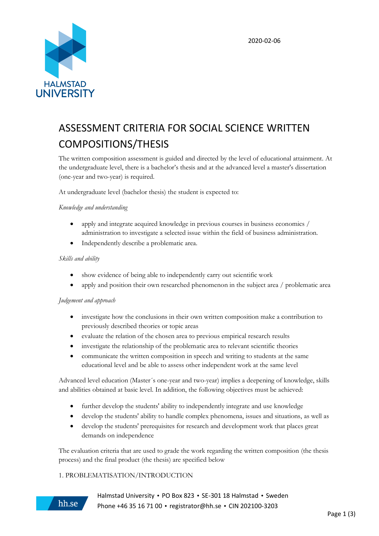

# ASSESSMENT CRITERIA FOR SOCIAL SCIENCE WRITTEN COMPOSITIONS/THESIS

The written composition assessment is guided and directed by the level of educational attainment. At the undergraduate level, there is a bachelor's thesis and at the advanced level a master's dissertation (one-year and two-year) is required.

At undergraduate level (bachelor thesis) the student is expected to:

## *Knowledge and understanding*

- apply and integrate acquired knowledge in previous courses in business economics / administration to investigate a selected issue within the field of business administration.
- Independently describe a problematic area.

## *Skills and ability*

- show evidence of being able to independently carry out scientific work
- apply and position their own researched phenomenon in the subject area / problematic area

## *Judgement and approach*

- investigate how the conclusions in their own written composition make a contribution to previously described theories or topic areas
- evaluate the relation of the chosen area to previous empirical research results
- investigate the relationship of the problematic area to relevant scientific theories
- communicate the written composition in speech and writing to students at the same educational level and be able to assess other independent work at the same level

Advanced level education (Master´s one-year and two-year) implies a deepening of knowledge, skills and abilities obtained at basic level. In addition, the following objectives must be achieved:

- further develop the students' ability to independently integrate and use knowledge
- develop the students' ability to handle complex phenomena, issues and situations, as well as
- develop the students' prerequisites for research and development work that places great demands on independence

The evaluation criteria that are used to grade the work regarding the written composition (the thesis process) and the final product (the thesis) are specified below

## 1. PROBLEMATISATION/INTRODUCTION



Halmstad University • PO Box 823 • SE-301 18 Halmstad • Sweden Phone +46 35 16 71 00 • [registrator@hh.se](mailto:registrator@hh.se) • CIN 202100-3203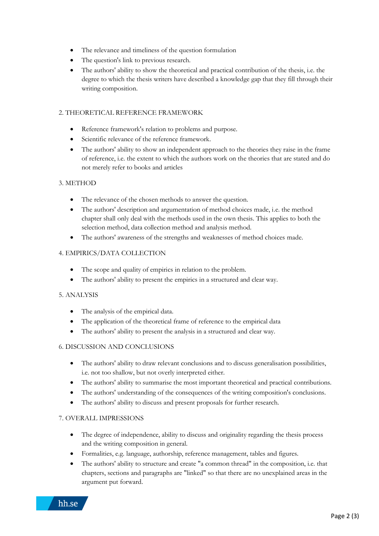- The relevance and timeliness of the question formulation
- The question's link to previous research.
- The authors' ability to show the theoretical and practical contribution of the thesis, i.e. the degree to which the thesis writers have described a knowledge gap that they fill through their writing composition.

## 2. THEORETICAL REFERENCE FRAMEWORK

- Reference framework's relation to problems and purpose.
- Scientific relevance of the reference framework.
- The authors' ability to show an independent approach to the theories they raise in the frame of reference, i.e. the extent to which the authors work on the theories that are stated and do not merely refer to books and articles

## 3. METHOD

- The relevance of the chosen methods to answer the question.
- The authors' description and argumentation of method choices made, i.e. the method chapter shall only deal with the methods used in the own thesis. This applies to both the selection method, data collection method and analysis method.
- The authors' awareness of the strengths and weaknesses of method choices made.

## 4. EMPIRICS/DATA COLLECTION

- The scope and quality of empirics in relation to the problem.
- The authors' ability to present the empirics in a structured and clear way.

## 5. ANALYSIS

- The analysis of the empirical data.
- The application of the theoretical frame of reference to the empirical data
- The authors' ability to present the analysis in a structured and clear way.

## 6. DISCUSSION AND CONCLUSIONS

- The authors' ability to draw relevant conclusions and to discuss generalisation possibilities, i.e. not too shallow, but not overly interpreted either.
- The authors' ability to summarise the most important theoretical and practical contributions.
- The authors' understanding of the consequences of the writing composition's conclusions.
- The authors' ability to discuss and present proposals for further research.

## 7. OVERALL IMPRESSIONS

- The degree of independence, ability to discuss and originality regarding the thesis process and the writing composition in general.
- Formalities, e.g. language, authorship, reference management, tables and figures.
- The authors' ability to structure and create "a common thread" in the composition, i.e. that chapters, sections and paragraphs are "linked" so that there are no unexplained areas in the argument put forward.

hh.se